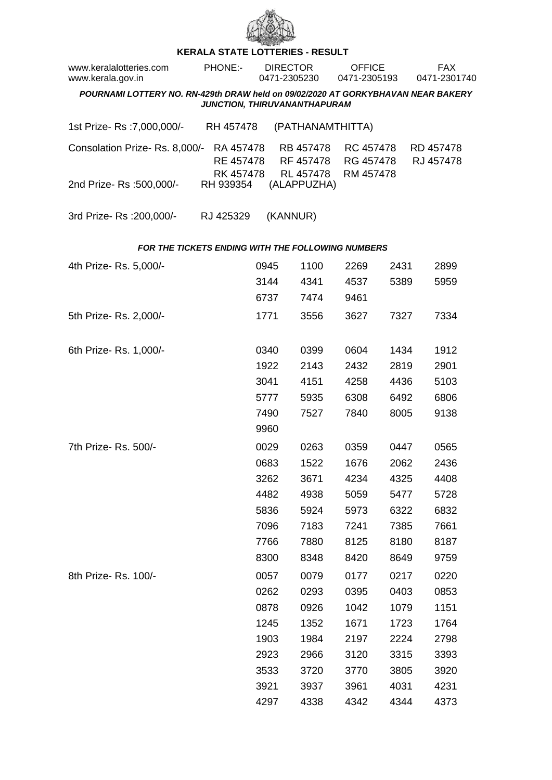

## **KERALA STATE LOTTERIES - RESULT**

| www.keralalotteries.com<br>www.kerala.gov.in                                     | PHONE:-                             | <b>DIRECTOR</b><br>0471-2305230 |                                     | <b>OFFICE</b><br>0471-2305193       |      | <b>FAX</b><br>0471-2301740 |  |  |  |  |
|----------------------------------------------------------------------------------|-------------------------------------|---------------------------------|-------------------------------------|-------------------------------------|------|----------------------------|--|--|--|--|
| POURNAMI LOTTERY NO. RN-429th DRAW held on 09/02/2020 AT GORKYBHAVAN NEAR BAKERY |                                     |                                 |                                     |                                     |      |                            |  |  |  |  |
| JUNCTION, THIRUVANANTHAPURAM                                                     |                                     |                                 |                                     |                                     |      |                            |  |  |  |  |
| 1st Prize-Rs : 7,000,000/-                                                       | RH 457478                           |                                 | (PATHANAMTHITTA)                    |                                     |      |                            |  |  |  |  |
| Consolation Prize-Rs. 8,000/-                                                    | RA 457478<br>RE 457478<br>RK 457478 |                                 | RB 457478<br>RF 457478<br>RL 457478 | RC 457478<br>RG 457478<br>RM 457478 |      | RD 457478<br>RJ 457478     |  |  |  |  |
| 2nd Prize- Rs :500,000/-                                                         | RH 939354                           |                                 | (ALAPPUZHA)                         |                                     |      |                            |  |  |  |  |
| 3rd Prize-Rs : 200,000/-                                                         | RJ 425329                           | (KANNUR)                        |                                     |                                     |      |                            |  |  |  |  |
| FOR THE TICKETS ENDING WITH THE FOLLOWING NUMBERS                                |                                     |                                 |                                     |                                     |      |                            |  |  |  |  |
| 4th Prize-Rs. 5,000/-                                                            |                                     | 0945                            | 1100                                | 2269                                | 2431 | 2899                       |  |  |  |  |
|                                                                                  |                                     | 3144                            | 4341                                | 4537                                | 5389 | 5959                       |  |  |  |  |
|                                                                                  |                                     | 6737                            | 7474                                | 9461                                |      |                            |  |  |  |  |
| 5th Prize-Rs. 2,000/-                                                            |                                     | 1771                            | 3556                                | 3627                                | 7327 | 7334                       |  |  |  |  |
| 6th Prize-Rs. 1,000/-                                                            |                                     | 0340                            | 0399                                | 0604                                | 1434 | 1912                       |  |  |  |  |
|                                                                                  |                                     | 1922                            | 2143                                | 2432                                | 2819 | 2901                       |  |  |  |  |
|                                                                                  |                                     | 3041                            | 4151                                | 4258                                | 4436 | 5103                       |  |  |  |  |
|                                                                                  |                                     | 5777                            | 5935                                | 6308                                | 6492 | 6806                       |  |  |  |  |
|                                                                                  |                                     | 7490                            | 7527                                | 7840                                | 8005 | 9138                       |  |  |  |  |
|                                                                                  |                                     | 9960                            |                                     |                                     |      |                            |  |  |  |  |
| 7th Prize-Rs. 500/-                                                              |                                     | 0029                            | 0263                                | 0359                                | 0447 | 0565                       |  |  |  |  |
|                                                                                  |                                     | 0683                            | 1522                                | 1676                                | 2062 | 2436                       |  |  |  |  |
|                                                                                  |                                     | 3262                            | 3671                                | 4234                                | 4325 | 4408                       |  |  |  |  |
|                                                                                  |                                     | 4482                            | 4938                                | 5059                                | 5477 | 5728                       |  |  |  |  |
|                                                                                  |                                     | 5836                            | 5924                                | 5973                                | 6322 | 6832                       |  |  |  |  |
|                                                                                  |                                     | 7096                            | 7183                                | 7241                                | 7385 | 7661                       |  |  |  |  |
|                                                                                  |                                     | 7766                            | 7880                                | 8125                                | 8180 | 8187                       |  |  |  |  |
|                                                                                  |                                     | 8300                            | 8348                                | 8420                                | 8649 | 9759                       |  |  |  |  |
| 8th Prize-Rs. 100/-                                                              |                                     | 0057                            | 0079                                | 0177                                | 0217 | 0220                       |  |  |  |  |
|                                                                                  |                                     | 0262                            | 0293                                | 0395                                | 0403 | 0853                       |  |  |  |  |
|                                                                                  |                                     | 0878                            | 0926                                | 1042                                | 1079 | 1151                       |  |  |  |  |
|                                                                                  |                                     | 1245                            | 1352                                | 1671                                | 1723 | 1764                       |  |  |  |  |
|                                                                                  |                                     | 1903                            | 1984                                | 2197                                | 2224 | 2798                       |  |  |  |  |
|                                                                                  |                                     | 2923                            | 2966                                | 3120                                | 3315 | 3393                       |  |  |  |  |
|                                                                                  |                                     | 3533                            | 3720                                | 3770                                | 3805 | 3920                       |  |  |  |  |
|                                                                                  |                                     | 3921                            | 3937                                | 3961                                | 4031 | 4231                       |  |  |  |  |
|                                                                                  |                                     | 4297                            | 4338                                | 4342                                | 4344 | 4373                       |  |  |  |  |